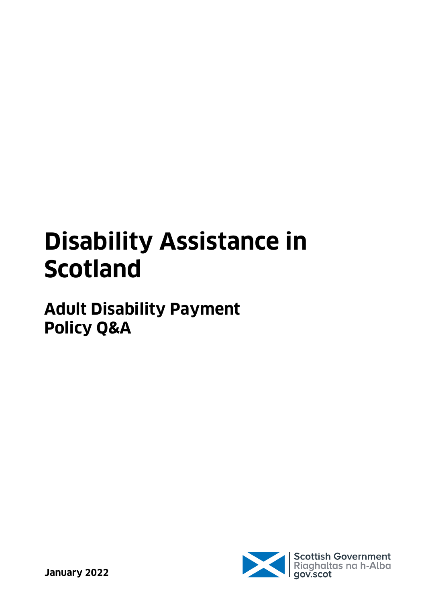# **Disability Assistance in Scotland**

## **Adult Disability Payment Policy Q&A**

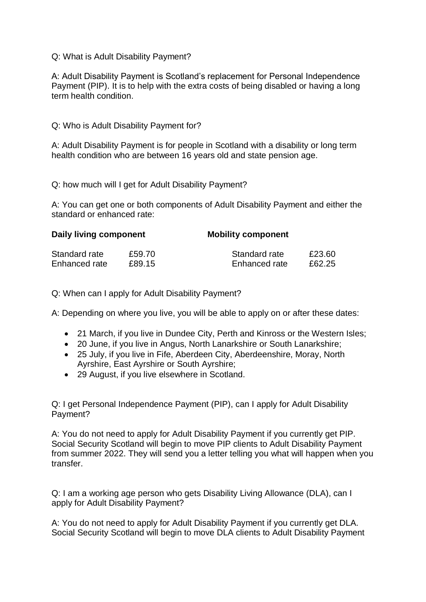#### Q: What is Adult Disability Payment?

A: Adult Disability Payment is Scotland's replacement for Personal Independence Payment (PIP). It is to help with the extra costs of being disabled or having a long term health condition.

#### Q: Who is Adult Disability Payment for?

A: Adult Disability Payment is for people in Scotland with a disability or long term health condition who are between 16 years old and state pension age.

Q: how much will I get for Adult Disability Payment?

A: You can get one or both components of Adult Disability Payment and either the standard or enhanced rate:

| Daily living component |        | <b>Mobility component</b> |        |
|------------------------|--------|---------------------------|--------|
| Standard rate          | £59.70 | Standard rate             | £23.60 |
| Enhanced rate          | £89.15 | Enhanced rate             | £62.25 |

Q: When can I apply for Adult Disability Payment?

A: Depending on where you live, you will be able to apply on or after these dates:

- 21 March, if you live in Dundee City, Perth and Kinross or the Western Isles;
- 20 June, if you live in Angus, North Lanarkshire or South Lanarkshire;
- 25 July, if you live in Fife, Aberdeen City, Aberdeenshire, Moray, North Ayrshire, East Ayrshire or South Ayrshire;
- 29 August, if you live elsewhere in Scotland.

Q: I get Personal Independence Payment (PIP), can I apply for Adult Disability Payment?

A: You do not need to apply for Adult Disability Payment if you currently get PIP. Social Security Scotland will begin to move PIP clients to Adult Disability Payment from summer 2022. They will send you a letter telling you what will happen when you transfer.

Q: I am a working age person who gets Disability Living Allowance (DLA), can I apply for Adult Disability Payment?

A: You do not need to apply for Adult Disability Payment if you currently get DLA. Social Security Scotland will begin to move DLA clients to Adult Disability Payment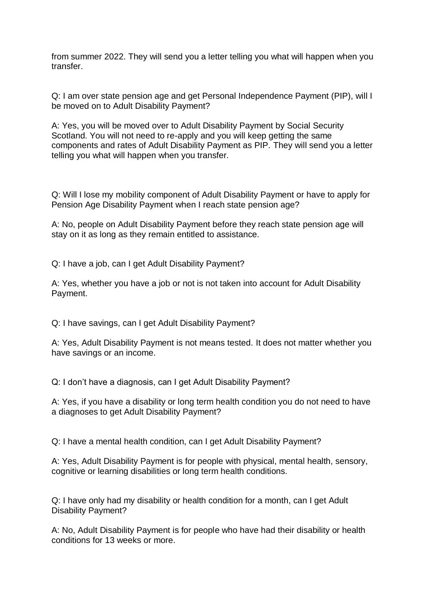from summer 2022. They will send you a letter telling you what will happen when you transfer.

Q: I am over state pension age and get Personal Independence Payment (PIP), will I be moved on to Adult Disability Payment?

A: Yes, you will be moved over to Adult Disability Payment by Social Security Scotland. You will not need to re-apply and you will keep getting the same components and rates of Adult Disability Payment as PIP. They will send you a letter telling you what will happen when you transfer.

Q: Will I lose my mobility component of Adult Disability Payment or have to apply for Pension Age Disability Payment when I reach state pension age?

A: No, people on Adult Disability Payment before they reach state pension age will stay on it as long as they remain entitled to assistance.

Q: I have a job, can I get Adult Disability Payment?

A: Yes, whether you have a job or not is not taken into account for Adult Disability Payment.

Q: I have savings, can I get Adult Disability Payment?

A: Yes, Adult Disability Payment is not means tested. It does not matter whether you have savings or an income.

Q: I don't have a diagnosis, can I get Adult Disability Payment?

A: Yes, if you have a disability or long term health condition you do not need to have a diagnoses to get Adult Disability Payment?

Q: I have a mental health condition, can I get Adult Disability Payment?

A: Yes, Adult Disability Payment is for people with physical, mental health, sensory, cognitive or learning disabilities or long term health conditions.

Q: I have only had my disability or health condition for a month, can I get Adult Disability Payment?

A: No, Adult Disability Payment is for people who have had their disability or health conditions for 13 weeks or more.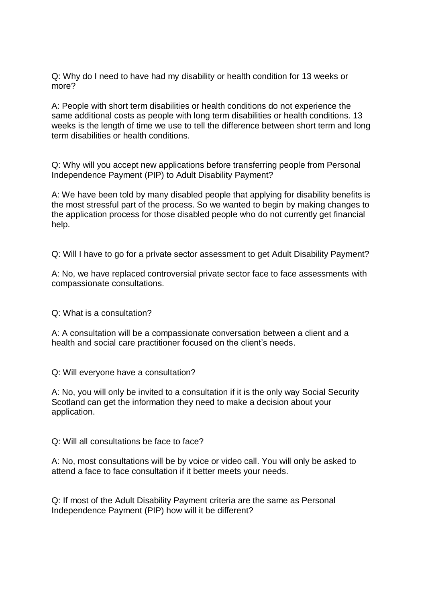Q: Why do I need to have had my disability or health condition for 13 weeks or more?

A: People with short term disabilities or health conditions do not experience the same additional costs as people with long term disabilities or health conditions. 13 weeks is the length of time we use to tell the difference between short term and long term disabilities or health conditions.

Q: Why will you accept new applications before transferring people from Personal Independence Payment (PIP) to Adult Disability Payment?

A: We have been told by many disabled people that applying for disability benefits is the most stressful part of the process. So we wanted to begin by making changes to the application process for those disabled people who do not currently get financial help.

Q: Will I have to go for a private sector assessment to get Adult Disability Payment?

A: No, we have replaced controversial private sector face to face assessments with compassionate consultations.

Q: What is a consultation?

A: A consultation will be a compassionate conversation between a client and a health and social care practitioner focused on the client's needs.

Q: Will everyone have a consultation?

A: No, you will only be invited to a consultation if it is the only way Social Security Scotland can get the information they need to make a decision about your application.

Q: Will all consultations be face to face?

A: No, most consultations will be by voice or video call. You will only be asked to attend a face to face consultation if it better meets your needs.

Q: If most of the Adult Disability Payment criteria are the same as Personal Independence Payment (PIP) how will it be different?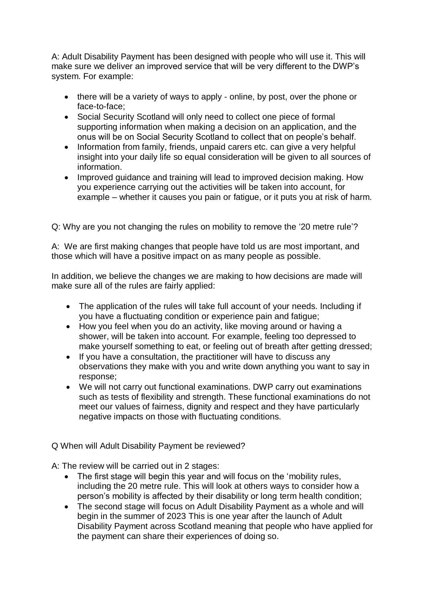A: Adult Disability Payment has been designed with people who will use it. This will make sure we deliver an improved service that will be very different to the DWP's system. For example:

- there will be a variety of ways to apply online, by post, over the phone or face-to-face;
- Social Security Scotland will only need to collect one piece of formal supporting information when making a decision on an application, and the onus will be on Social Security Scotland to collect that on people's behalf.
- Information from family, friends, unpaid carers etc. can give a very helpful insight into your daily life so equal consideration will be given to all sources of information.
- Improved guidance and training will lead to improved decision making. How you experience carrying out the activities will be taken into account, for example – whether it causes you pain or fatigue, or it puts you at risk of harm.

Q: Why are you not changing the rules on mobility to remove the '20 metre rule'?

A: We are first making changes that people have told us are most important, and those which will have a positive impact on as many people as possible.

In addition, we believe the changes we are making to how decisions are made will make sure all of the rules are fairly applied:

- The application of the rules will take full account of your needs. Including if you have a fluctuating condition or experience pain and fatigue;
- How you feel when you do an activity, like moving around or having a shower, will be taken into account. For example, feeling too depressed to make yourself something to eat, or feeling out of breath after getting dressed;
- If you have a consultation, the practitioner will have to discuss any observations they make with you and write down anything you want to say in response;
- We will not carry out functional examinations. DWP carry out examinations such as tests of flexibility and strength. These functional examinations do not meet our values of fairness, dignity and respect and they have particularly negative impacts on those with fluctuating conditions.

Q When will Adult Disability Payment be reviewed?

A: The review will be carried out in 2 stages:

- The first stage will begin this year and will focus on the 'mobility rules, including the 20 metre rule. This will look at others ways to consider how a person's mobility is affected by their disability or long term health condition;
- The second stage will focus on Adult Disability Payment as a whole and will begin in the summer of 2023 This is one year after the launch of Adult Disability Payment across Scotland meaning that people who have applied for the payment can share their experiences of doing so.